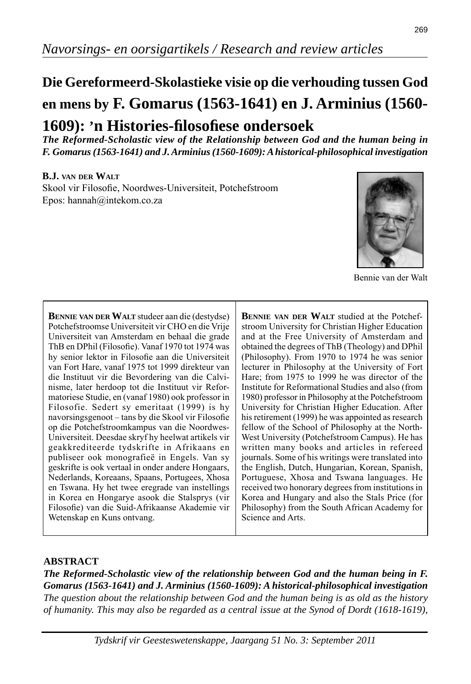# **Die Gereformeerd-Skolastieke visie op die verhouding tussen God en mens by F. Gomarus (1563-1641) en J. Arminius (1560- 1609): 'n Histories-fi losofi ese ondersoek**

*The Reformed-Scholastic view of the Relationship between God and the human being in F. Gomarus (1563-1641) and J. Arminius (1560-1609): A historical-philosophical investigation*

#### **B.J. VAN DER WALT**

Skool vir Filosofie, Noordwes-Universiteit, Potchefstroom Epos: hannah@intekom.co.za



Bennie van der Walt

**BENNIE VAN DER WALT** studeer aan die (destydse) Potchefstroomse Universiteit vir CHO en die Vrije Universiteit van Amsterdam en behaal die grade ThB en DPhil (Filosofie). Vanaf 1970 tot 1974 was hy senior lektor in Filosofie aan die Universiteit van Fort Hare, vanaf 1975 tot 1999 direkteur van die Instituut vir die Bevordering van die Calvinisme, later herdoop tot die Instituut vir Reformatoriese Studie, en (vanaf 1980) ook professor in Filosofie. Sedert sy emeritaat (1999) is hy navorsingsgenoot – tans by die Skool vir Filosofie op die Potchefstroomkampus van die Noordwes-Universiteit. Deesdae skryf hy heelwat artikels vir geakkrediteerde tydskrifte in Afrikaans en publiseer ook monografieë in Engels. Van sy geskrifte is ook vertaal in onder andere Hongaars, Nederlands, Koreaans, Spaans, Portugees, Xhosa en Tswana. Hy het twee eregrade van instellings in Korea en Hongarye asook die Stalsprys (vir Filosofie) van die Suid-Afrikaanse Akademie vir Wetenskap en Kuns ontvang.

**BENNIE VAN DER WALT** studied at the Potchefstroom University for Christian Higher Education and at the Free University of Amsterdam and obtained the degrees of ThB (Theology) and DPhil (Philosophy). From 1970 to 1974 he was senior lecturer in Philosophy at the University of Fort Hare; from 1975 to 1999 he was director of the Institute for Reformational Studies and also (from 1980) professor in Philosophy at the Potchefstroom University for Christian Higher Education. After his retirement (1999) he was appointed as research fellow of the School of Philosophy at the North-West University (Potchefstroom Campus). He has written many books and articles in refereed journals. Some of his writings were translated into the English, Dutch, Hungarian, Korean, Spanish, Portuguese, Xhosa and Tswana languages. He received two honorary degrees from institutions in Korea and Hungary and also the Stals Price (for Philosophy) from the South African Academy for Science and Arts.

# **ABSTRACT**

*The Reformed-Scholastic view of the relationship between God and the human being in F. Gomarus (1563-1641) and J. Arminius (1560-1609): A historical-philosophical investigation The question about the relationship between God and the human being is as old as the history of humanity. This may also be regarded as a central issue at the Synod of Dordt (1618-1619),*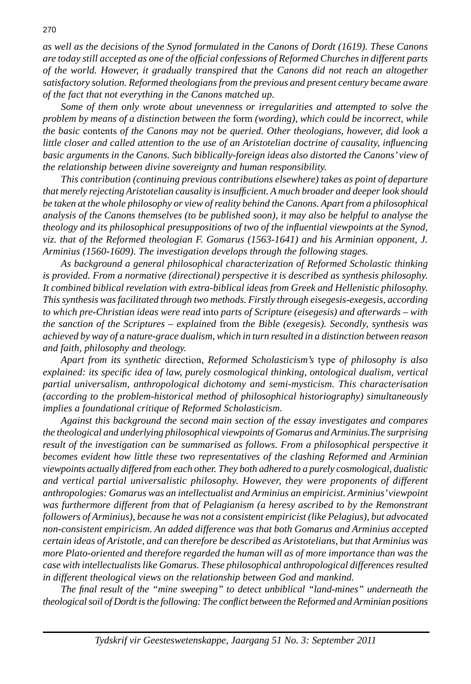*as well as the decisions of the Synod formulated in the Canons of Dordt (1619). These Canons are today still accepted as one of the offi cial confessions of Reformed Churches in different parts of the world. However, it gradually transpired that the Canons did not reach an altogether satisfactory solution. Reformed theologians from the previous and present century became aware of the fact that not everything in the Canons matched up.*

 *Some of them only wrote about unevenness or irregularities and attempted to solve the problem by means of a distinction between the* form *(wording), which could be incorrect, while the basic* contents *of the Canons may not be queried. Other theologians, however, did look a little closer and called attention to the use of an Aristotelian doctrine of causality, influencing basic arguments in the Canons. Such biblically-foreign ideas also distorted the Canons' view of the relationship between divine sovereignty and human responsibility.*

 *This contribution (continuing previous contributions elsewhere) takes as point of departure that merely rejecting Aristotelian causality is insuffi cient. A much broader and deeper look should be taken at the whole philosophy or view of reality behind the Canons. Apart from a philosophical analysis of the Canons themselves (to be published soon), it may also be helpful to analyse the theology and its philosophical presuppositions of two of the influential viewpoints at the Synod, viz. that of the Reformed theologian F. Gomarus (1563-1641) and his Arminian opponent, J. Arminius (1560-1609). The investigation develops through the following stages.*

 *As background a general philosophical characterization of Reformed Scholastic thinking is provided. From a normative (directional) perspective it is described as synthesis philosophy. It combined biblical revelation with extra-biblical ideas from Greek and Hellenistic philosophy. This synthesis was facilitated through two methods. Firstly through eisegesis-exegesis, according to which pre-Christian ideas were read* into *parts of Scripture (eisegesis) and afterwards – with the sanction of the Scriptures – explained* from *the Bible (exegesis). Secondly, synthesis was achieved by way of a nature-grace dualism, which in turn resulted in a distinction between reason and faith, philosophy and theology.*

 *Apart from its synthetic* direction*, Reformed Scholasticism's* type *of philosophy is also explained: its specifi c idea of law, purely cosmological thinking, ontological dualism, vertical partial universalism, anthropological dichotomy and semi-mysticism. This characterisation (according to the problem-historical method of philosophical historiography) simultaneously implies a foundational critique of Reformed Scholasticism.*

 *Against this background the second main section of the essay investigates and compares the theological and underlying philosophical viewpoints of Gomarus and Arminius.The surprising result of the investigation can be summarised as follows. From a philosophical perspective it becomes evident how little these two representatives of the clashing Reformed and Arminian viewpoints actually differed from each other. They both adhered to a purely cosmological, dualistic and vertical partial universalistic philosophy. However, they were proponents of different anthropologies: Gomarus was an intellectualist and Arminius an empiricist. Arminius' viewpoint*  was furthermore different from that of Pelagianism (a heresy ascribed to by the Remonstrant *followers of Arminius), because he was not a consistent empiricist (like Pelagius), but advocated non-consistent empiricism. An added difference was that both Gomarus and Arminius accepted certain ideas of Aristotle, and can therefore be described as Aristotelians, but that Arminius was more Plato-oriented and therefore regarded the human will as of more importance than was the case with intellectualists like Gomarus. These philosophical anthropological differences resulted in different theological views on the relationship between God and mankind.*

 *The fi nal result of the "mine sweeping" to detect unbiblical "land-mines" underneath the theological soil of Dordt is the following: The confl ict between the Reformed and Arminian positions*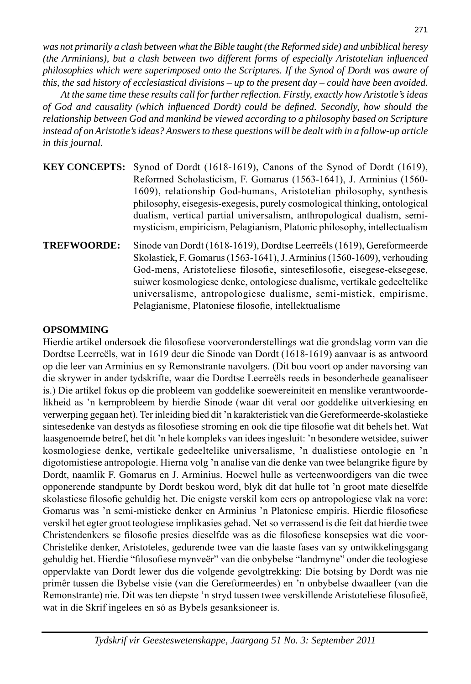*was not primarily a clash between what the Bible taught (the Reformed side) and unbiblical heresy (the Arminians), but a clash between two different forms of especially Aristotelian influenced philosophies which were superimposed onto the Scriptures. If the Synod of Dordt was aware of this, the sad history of ecclesiastical divisions – up to the present day – could have been avoided.*

 *At the same time these results call for further refl ection. Firstly, exactly how Aristotle's ideas of God and causality (which infl uenced Dordt) could be defi ned. Secondly, how should the relationship between God and mankind be viewed according to a philosophy based on Scripture instead of on Aristotle's ideas? Answers to these questions will be dealt with in a follow-up article in this journal.*

|                    | <b>KEY CONCEPTS:</b> Synod of Dordt (1618-1619), Canons of the Synod of Dordt (1619),<br>Reformed Scholasticism, F. Gomarus (1563-1641), J. Arminius (1560- |
|--------------------|-------------------------------------------------------------------------------------------------------------------------------------------------------------|
|                    | 1609), relationship God-humans, Aristotelian philosophy, synthesis                                                                                          |
|                    | philosophy, eisegesis-exegesis, purely cosmological thinking, ontological                                                                                   |
|                    | dualism, vertical partial universalism, anthropological dualism, semi-<br>mysticism, empiricism, Pelagianism, Platonic philosophy, intellectualism          |
| <b>TREFWOORDE:</b> | Sinode van Dordt (1618-1619), Dordtse Leerreëls (1619), Gereformeerde<br>Skolastiek, F. Gomarus (1563-1641), J. Arminius (1560-1609), verhouding            |

Skolastiek, F. Gomarus (1563-1641), J. Arminius (1560-1609), verhouding God-mens, Aristoteliese filosofie, sintesefilosofie, eisegese-eksegese, suiwer kosmologiese denke, ontologiese dualisme, vertikale gedeeltelike universa lisme, antropologiese dualisme, semi-mistiek, empirisme, Pelagianisme, Platoniese filosofie, intellektualisme

# **OPSOMMING**

Hierdie artikel ondersoek die filosofiese voorveronderstellings wat die grondslag vorm van die Dordtse Leerreëls, wat in 1619 deur die Sinode van Dordt (1618-1619) aanvaar is as antwoord op die leer van Arminius en sy Remonstrante navolgers. (Dit bou voort op ander navorsing van die skrywer in ander tydskrifte, waar die Dordtse Leerreëls reeds in besonderhede geanaliseer is.) Die artikel fokus op die probleem van goddelike soewereiniteit en menslike verantwoordelikheid as 'n kernprobleem by hierdie Sinode (waar dit veral oor goddelike uitverkiesing en verwerping gegaan het). Ter inleiding bied dit 'n karakteristiek van die Gereformeerde-skolastieke sintesedenke van destyds as filosofiese stroming en ook die tipe filosofie wat dit behels het. Wat laasgenoemde betref, het dit 'n hele kompleks van idees ingesluit: 'n besondere wetsidee, suiwer kosmologiese denke, vertikale gedeeltelike universalisme, 'n dualistiese ontologie en 'n digotomistiese antropologie. Hierna volg 'n analise van die denke van twee belangrike figure by Dordt, naamlik F. Gomarus en J. Arminius. Hoewel hulle as verteenwoordigers van die twee opponerende standpunte by Dordt beskou word, blyk dit dat hulle tot 'n groot mate dieselfde skolastiese filosofie gehuldig het. Die enigste verskil kom eers op antropologiese vlak na vore: Gomarus was 'n semi-mistieke denker en Arminius 'n Platoniese empiris. Hierdie filosofiese verskil het egter groot teologiese implikasies gehad. Net so verrassend is die feit dat hierdie twee Christendenkers se filosofie presies dieselfde was as die filosofiese konsepsies wat die voor-Christelike denker, Aristoteles, gedurende twee van die laaste fases van sy ontwikkelingsgang gehuldig het. Hierdie "filosofiese mynveër" van die onbybelse "landmyne" onder die teologiese oppervlakte van Dordt lewer dus die volgende gevolgtrekking: Die botsing by Dordt was nie primêr tussen die Bybelse visie (van die Gereformeerdes) en 'n onbybelse dwaalleer (van die Remonstrante) nie. Dit was ten diepste 'n stryd tussen twee verskillende Aristoteliese filosofieë, wat in die Skrif ingelees en só as Bybels gesanksioneer is.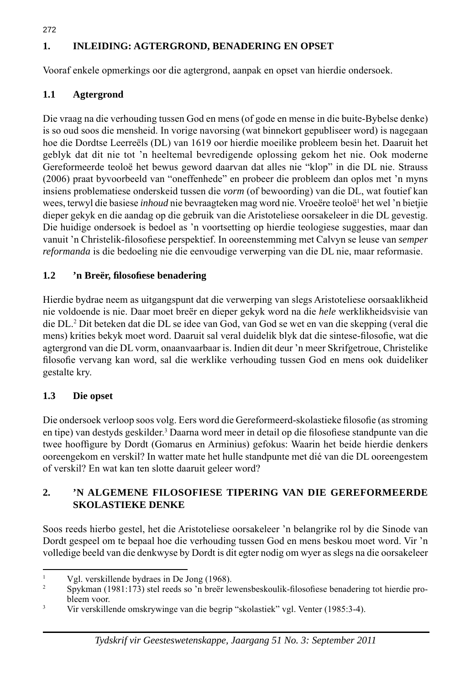# **1. INLEIDING: AGTERGROND, BENADERING EN OPSET**

Vooraf enkele opmerkings oor die agtergrond, aanpak en opset van hierdie ondersoek.

# **1.1 Agtergrond**

272

Die vraag na die verhouding tussen God en mens (of gode en mense in die buite-Bybelse denke) is so oud soos die mensheid. In vorige navorsing (wat binnekort gepubliseer word) is nagegaan hoe die Dordtse Leerreëls (DL) van 1619 oor hierdie moeilike probleem besin het. Daaruit het geblyk dat dit nie tot 'n heeltemal bevredigende oplossing gekom het nie. Ook moderne Gereformeerde teoloë het bewus geword daarvan dat alles nie "klop" in die DL nie. Strauss (2006) praat byvoorbeeld van "oneffenhede" en probeer die probleem dan oplos met 'n myns insiens problematiese onderskeid tussen die *vorm* (of bewoording) van die DL, wat foutief kan wees, terwyl die basiese *inhoud* nie bevraagteken mag word nie. Vroeëre teoloë<sup>1</sup> het wel 'n bietjie dieper gekyk en die aandag op die gebruik van die Aristoteliese oorsakeleer in die DL gevestig. Die huidige ondersoek is bedoel as 'n voortsetting op hierdie teologiese suggesties, maar dan vanuit 'n Christelik-fi losofi ese perspektief. In ooreenstemming met Calvyn se leuse van *semper reformanda* is die bedoeling nie die eenvoudige verwerping van die DL nie, maar reformasie.

#### **1***.***2 'n Breër, fi losofi ese benadering**

Hierdie bydrae neem as uitgangspunt dat die verwerping van slegs Aristoteliese oorsaaklikheid nie voldoende is nie. Daar moet breër en dieper gekyk word na die *hele* werklikheidsvisie van die DL.2 Dit beteken dat die DL se idee van God, van God se wet en van die skepping (veral die mens) krities bekyk moet word. Daaruit sal veral duidelik blyk dat die sintese-filosofie, wat die agtergrond van die DL vorm, onaanvaarbaar is. Indien dit deur 'n meer Skrifgetroue, Christelike filosofie vervang kan word, sal die werklike verhouding tussen God en mens ook duideliker gestalte kry.

#### **1.3 Die opset**

Die ondersoek verloop soos volg. Eers word die Gereformeerd-skolastieke filosofie (as stroming en tipe) van destyds geskilder.<sup>3</sup> Daarna word meer in detail op die filosofiese standpunte van die twee hooffigure by Dordt (Gomarus en Arminius) gefokus: Waarin het beide hierdie denkers ooreengekom en verskil? In watter mate het hulle standpunte met dié van die DL ooreengestem of verskil? En wat kan ten slotte daaruit geleer word?

#### **2. 'N ALGEMENE FILOSOFIESE TIPERING VAN DIE GEREFORMEERDE SKOLASTIEKE DENKE**

Soos reeds hierbo gestel, het die Aristoteliese oorsakeleer 'n belangrike rol by die Sinode van Dordt gespeel om te bepaal hoe die verhouding tussen God en mens beskou moet word. Vir 'n volledige beeld van die denkwyse by Dordt is dit egter nodig om wyer as slegs na die oorsakeleer

<sup>1</sup> Vgl. verskillende bydraes in De Jong (1968).

 $\mathfrak{Z}$ Spykman (1981:173) stel reeds so 'n breër lewensbeskoulik-filosofiese benadering tot hierdie probleem voor.

<sup>3</sup> Vir verskillende omskrywinge van die begrip "skolastiek" vgl. Venter (1985:3-4).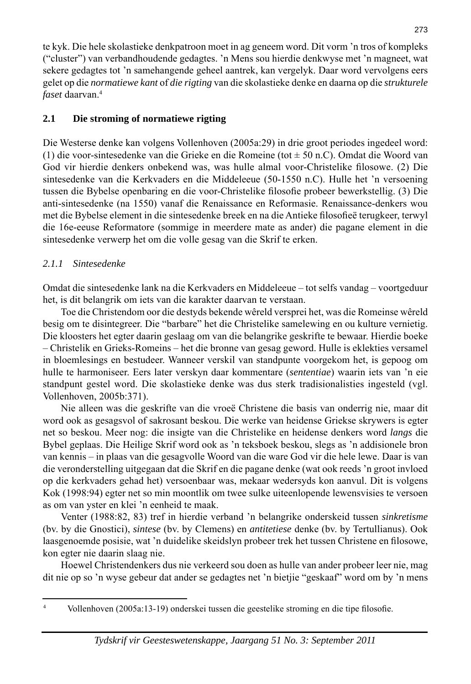te kyk. Die hele skolastieke denkpatroon moet in ag geneem word. Dit vorm 'n tros of kompleks ("cluster") van verbandhoudende gedagtes. 'n Mens sou hierdie denkwyse met 'n magneet, wat sekere gedagtes tot 'n samehangende geheel aantrek, kan vergelyk. Daar word vervolgens eers gelet op die *normatiewe kant* of *die rigting* van die skolastieke denke en daarna op die *strukturele faset* daarvan.4

# **2.1 Die stroming of normatiewe rigting**

Die Westerse denke kan volgens Vollenhoven (2005a:29) in drie groot periodes ingedeel word: (1) die voor-sintesedenke van die Grieke en die Romeine (tot ± 50 n.C). Omdat die Woord van God vir hierdie denkers onbekend was, was hulle almal voor-Christelike filosowe. (2) Die sintesedenke van die Kerkvaders en die Middeleeue (50-1550 n.C). Hulle het 'n versoening tussen die Bybelse openbaring en die voor-Christelike filosofie probeer bewerkstellig. (3) Die anti-sintesedenke (na 1550) vanaf die Renaissance en Reformasie. Renaissance-denkers wou met die Bybelse element in die sintesedenke breek en na die Antieke filosofieë terugkeer, terwyl die 16e-eeuse Reformatore (sommige in meerdere mate as ander) die pagane element in die sintesedenke verwerp het om die volle gesag van die Skrif te erken.

# *2.1.1 Sintesedenke*

Omdat die sintesedenke lank na die Kerkvaders en Middeleeue – tot selfs vandag – voortgeduur het, is dit belangrik om iets van die karakter daarvan te verstaan.

 Toe die Christendom oor die destyds bekende wêreld versprei het, was die Romeinse wêreld besig om te disintegreer. Die "barbare" het die Christelike samelewing en ou kulture vernietig. Die kloosters het egter daarin geslaag om van die belangrike geskrifte te bewaar. Hierdie boeke – Christelik en Grieks-Romeins – het die bronne van gesag geword. Hulle is eklekties versamel in bloemlesings en bestudeer. Wanneer verskil van standpunte voorgekom het, is gepoog om hulle te harmoniseer. Eers later verskyn daar kommentare (*sententiae*) waarin iets van 'n eie standpunt gestel word. Die skolastieke denke was dus sterk tradisionalisties ingesteld (vgl. Vollenhoven, 2005b:371).

 Nie alleen was die geskrifte van die vroeë Christene die basis van onderrig nie, maar dit word ook as gesagsvol of sakrosant beskou. Die werke van heidense Griekse skrywers is egter net so beskou. Meer nog: die insigte van die Christelike en heidense denkers word *langs* die Bybel geplaas. Die Heilige Skrif word ook as 'n teksboek beskou, slegs as 'n addisionele bron van kennis – in plaas van die gesagvolle Woord van die ware God vir die hele lewe. Daar is van die veronderstelling uitgegaan dat die Skrif en die pagane denke (wat ook reeds 'n groot invloed op die kerkvaders gehad het) versoenbaar was, mekaar wedersyds kon aanvul. Dit is volgens Kok (1998:94) egter net so min moontlik om twee sulke uiteenlopende lewensvisies te versoen as om van yster en klei 'n eenheid te maak.

 Venter (1988:82, 83) tref in hierdie verband 'n belangrike onderskeid tussen *sinkretisme*  (bv. by die Gnostici), *sintese* (bv. by Clemens) en *antitetiese* denke (bv. by Tertullianus). Ook laasgenoemde posisie, wat 'n duidelike skeidslyn probeer trek het tussen Christene en filosowe, kon egter nie daarin slaag nie.

 Hoewel Christendenkers dus nie verkeerd sou doen as hulle van ander probeer leer nie, mag dit nie op so 'n wyse gebeur dat ander se gedagtes net 'n bietjie "geskaaf" word om by 'n mens

4 Vollenhoven (2005a:13-19) onderskei tussen die geestelike stroming en die tipe filosofie.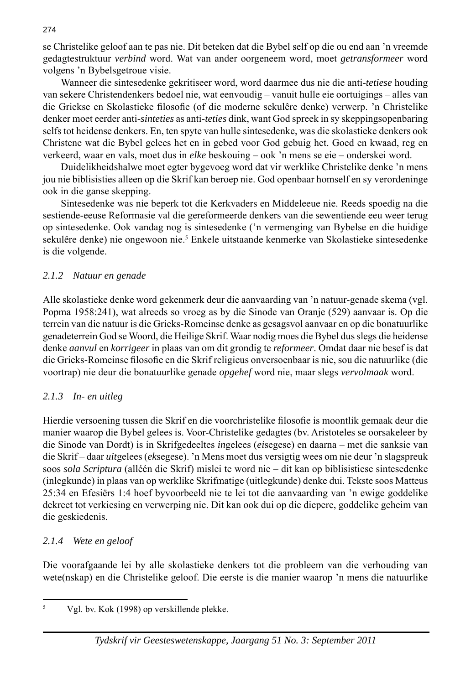se Christelike geloof aan te pas nie. Dit beteken dat die Bybel self op die ou end aan 'n vreemde gedagtestruktuur *verbind* word. Wat van ander oorgeneem word, moet *getransformeer* word volgens 'n Bybelsgetroue visie.

 Wanneer die sintesedenke gekritiseer word, word daarmee dus nie die anti-*tetiese* houding van sekere Christendenkers bedoel nie, wat eenvoudig – vanuit hulle eie oortuigings – alles van die Griekse en Skolastieke filosofie (of die moderne sekulêre denke) verwerp. 'n Christelike denker moet eerder anti-*sinteties* as anti-*teties* dink, want God spreek in sy skeppingsopenbaring selfs tot heidense denkers. En, ten spyte van hulle sintesedenke, was die skolastieke denkers ook Christene wat die Bybel gelees het en in gebed voor God gebuig het. Goed en kwaad, reg en verkeerd, waar en vals, moet dus in *elke* beskouing – ook 'n mens se eie – onderskei word.

 Duidelikheidshalwe moet egter bygevoeg word dat vir werklike Christelike denke 'n mens jou nie biblisisties alleen op die Skrif kan beroep nie. God openbaar homself en sy verordeninge ook in die ganse skepping.

 Sintesedenke was nie beperk tot die Kerkvaders en Middeleeue nie. Reeds spoedig na die sestiende-eeuse Reformasie val die gereformeerde denkers van die sewentiende eeu weer terug op sintesedenke. Ook vandag nog is sintesedenke ('n vermenging van Bybelse en die huidige sekulêre denke) nie ongewoon nie.<sup>5</sup> Enkele uitstaande kenmerke van Skolastieke sintesedenke is die volgende.

#### *2.1.2 Natuur en genade*

Alle skolastieke denke word gekenmerk deur die aanvaarding van 'n natuur-genade skema (vgl. Popma 1958:241), wat alreeds so vroeg as by die Sinode van Oranje (529) aanvaar is. Op die terrein van die natuur is die Grieks-Romeinse denke as gesagsvol aanvaar en op die bonatuurlike genadeterrein God se Woord, die Heilige Skrif. Waar nodig moes die Bybel dus slegs die heidense denke *aanvul* en *korrigeer* in plaas van om dit grondig te *reformeer*. Omdat daar nie besef is dat die Grieks-Romeinse filosofie en die Skrif religieus onversoenbaar is nie, sou die natuurlike (die voortrap) nie deur die bonatuurlike genade *opgehef* word nie, maar slegs *vervolmaak* word.

#### *2.1.3 In- en uitleg*

Hierdie versoening tussen die Skrif en die voorchristelike filosofie is moontlik gemaak deur die manier waarop die Bybel gelees is. Voor-Christelike gedagtes (bv. Aristoteles se oorsakeleer by die Sinode van Dordt) is in Skrifgedeeltes *in*gelees (*ei*segese) en daarna – met die sanksie van die Skrif – daar *uit*gelees (*ek*segese). 'n Mens moet dus versigtig wees om nie deur 'n slagspreuk soos *sola Scriptura* (alléén die Skrif) mislei te word nie – dit kan op biblisistiese sintesedenke (inlegkunde) in plaas van op werklike Skrifmatige (uitlegkunde) denke dui. Tekste soos Matteus 25:34 en Efesiërs 1:4 hoef byvoorbeeld nie te lei tot die aanvaarding van 'n ewige goddelike dekreet tot verkiesing en verwerping nie. Dit kan ook dui op die diepere, goddelike geheim van die geskiedenis.

#### *2.1.4 Wete en geloof*

Die voorafgaande lei by alle skolastieke denkers tot die probleem van die verhouding van wete(nskap) en die Christelike geloof. Die eerste is die manier waarop 'n mens die natuurlike

<sup>5</sup> Vgl. bv. Kok (1998) op verskillende plekke.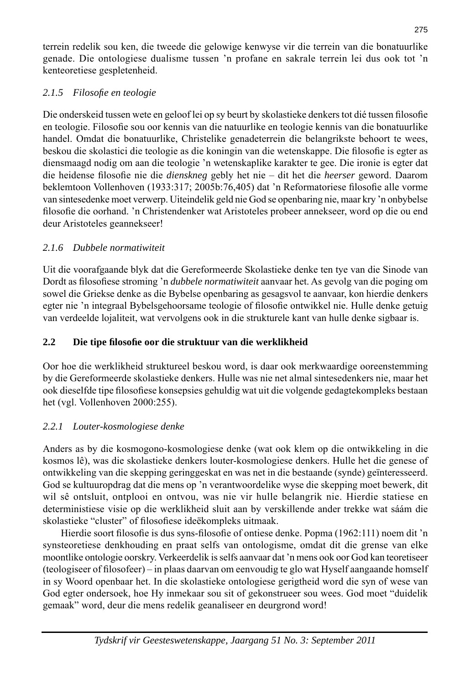terrein redelik sou ken, die tweede die gelowige kenwyse vir die terrein van die bonatuurlike genade. Die ontologiese dualisme tussen 'n profane en sakrale terrein lei dus ook tot 'n kenteoretiese gespletenheid.

# *2.1.5 Filosofi e en teologie*

Die onderskeid tussen wete en geloof lei op sy beurt by skolastieke denkers tot dié tussen filosofie en teologie. Filosofie sou oor kennis van die natuurlike en teologie kennis van die bonatuurlike handel. Omdat die bonatuurlike, Christelike genadeterrein die belangrikste behoort te wees, beskou die skolastici die teologie as die koningin van die wetenskappe. Die filosofie is egter as diensmaagd nodig om aan die teologie 'n wetenskaplike karakter te gee. Die ironie is egter dat die heidense filosofie nie die *dienskneg gebly het nie - dit het die heerser geword. Daarom* beklemtoon Vollenhoven (1933:317; 2005b:76,405) dat 'n Reformatoriese filosofie alle vorme van sintesedenke moet verwerp. Uiteindelik geld nie God se openbaring nie, maar kry 'n onbybelse filosofie die oorhand. 'n Christendenker wat Aristoteles probeer annekseer, word op die ou end deur Aristoteles geannekseer!

# *2.1.6 Dubbele normatiwiteit*

Uit die voorafgaande blyk dat die Gereformeerde Skolastieke denke ten tye van die Sinode van Dordt as filosofiese stroming 'n *dubbele normatiwiteit* aanvaar het. As gevolg van die poging om sowel die Griekse denke as die Bybelse openbaring as gesagsvol te aanvaar, kon hierdie denkers egter nie 'n integraal Bybelsgehoorsame teologie of filosofie ontwikkel nie. Hulle denke getuig van verdeelde lojaliteit, wat vervolgens ook in die strukturele kant van hulle denke sigbaar is.

# **2.2 Die tipe fi losofi e oor die struktuur van die werklikheid**

Oor hoe die werklikheid struktureel beskou word, is daar ook merkwaardige ooreenstemming by die Gereformeerde skolastieke denkers. Hulle was nie net almal sintesedenkers nie, maar het ook dieselfde tipe filosofiese konsepsies gehuldig wat uit die volgende gedagtekompleks bestaan het (vgl. Vollenhoven 2000:255).

# *2.2.1 Louter-kosmologiese denke*

Anders as by die kosmogono-kosmologiese denke (wat ook klem op die ontwikkeling in die kosmos lê), was die skolastieke denkers louter-kosmologiese denkers. Hulle het die genese of ontwikkeling van die skepping geringgeskat en was net in die bestaande (synde) geïnteresseerd. God se kultuuropdrag dat die mens op 'n verantwoordelike wyse die skepping moet bewerk, dit wil sê ontsluit, ontplooi en ontvou, was nie vir hulle belangrik nie. Hierdie statiese en deterministiese visie op die werklikheid sluit aan by verskillende ander trekke wat sáám die skolastieke "cluster" of filosofiese ideëkompleks uitmaak.

Hierdie soort filosofie is dus syns-filosofie of ontiese denke. Popma (1962:111) noem dit 'n synsteoretiese denkhouding en praat selfs van ontologisme, omdat dit die grense van elke moontlike ontologie oorskry. Verkeerdelik is selfs aanvaar dat 'n mens ook oor God kan teoretiseer (teologiseer of filosofeer) – in plaas daarvan om eenvoudig te glo wat Hyself aangaande homself in sy Woord openbaar het. In die skolastieke ontologiese gerigtheid word die syn of wese van God egter ondersoek, hoe Hy inmekaar sou sit of gekonstrueer sou wees. God moet "duidelik gemaak" word, deur die mens redelik geanaliseer en deurgrond word!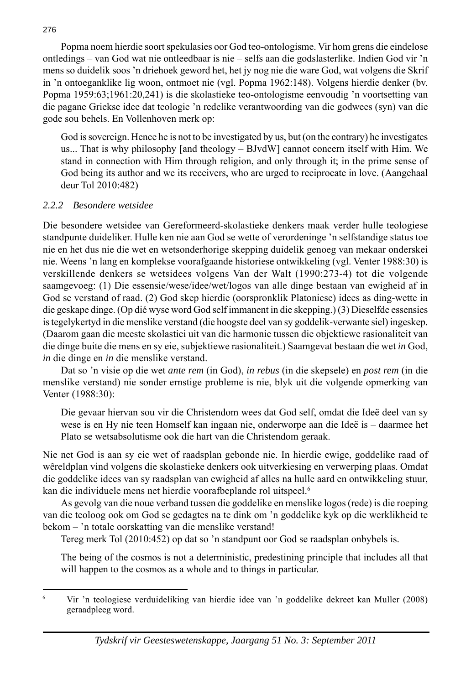Popma noem hierdie soort spekulasies oor God teo-ontologisme. Vir hom grens die eindelose ontledings – van God wat nie ontleedbaar is nie – selfs aan die godslasterlike. Indien God vir 'n mens so duidelik soos 'n driehoek geword het, het jy nog nie die ware God, wat volgens die Skrif in 'n ontoeganklike lig woon, ontmoet nie (vgl. Popma 1962:148). Volgens hierdie denker (bv. Popma 1959:63;1961:20,241) is die skolastieke teo-ontologisme eenvoudig 'n voortsetting van die pagane Griekse idee dat teologie 'n redelike verantwoording van die godwees (syn) van die gode sou behels. En Vollenhoven merk op:

 God is sovereign. Hence he is not to be investigated by us, but (on the contrary) he investigates us... That is why philosophy [and theology – BJvdW] cannot concern itself with Him. We stand in connection with Him through religion, and only through it; in the prime sense of God being its author and we its receivers, who are urged to reciprocate in love. (Aangehaal deur Tol 2010:482)

#### *2.2.2 Besondere wetsidee*

Die besondere wetsidee van Gereformeerd-skolastieke denkers maak verder hulle teologiese standpunte duideliker. Hulle ken nie aan God se wette of verordeninge 'n selfstandige status toe nie en het dus nie die wet en wetsonderhorige skepping duidelik genoeg van mekaar onderskei nie. Weens 'n lang en komplekse voorafgaande historiese ontwikkeling (vgl. Venter 1988:30) is verskillende denkers se wetsidees volgens Van der Walt (1990:273-4) tot die volgende saamgevoeg: (1) Die essensie/wese/idee/wet/logos van alle dinge bestaan van ewigheid af in God se verstand of raad. (2) God skep hierdie (oorspronklik Platoniese) idees as ding-wette in die geskape dinge. (Op dié wyse word God self immanent in die skepping.) (3) Dieselfde essensies is tegelykertyd in die menslike verstand (die hoogste deel van sy goddelik-verwante siel) ingeskep. (Daarom gaan die meeste skolastici uit van die harmonie tussen die objektiewe rasionaliteit van die dinge buite die mens en sy eie, subjektiewe rasionaliteit.) Saamgevat bestaan die wet *in* God, *in* die dinge en *in* die menslike verstand.

 Dat so 'n visie op die wet *ante rem* (in God), *in rebus* (in die skepsele) en *post rem* (in die menslike verstand) nie sonder ernstige probleme is nie, blyk uit die volgende opmerking van Venter (1988:30):

 Die gevaar hiervan sou vir die Christendom wees dat God self, omdat die Ideë deel van sy wese is en Hy nie teen Homself kan ingaan nie, onderworpe aan die Ideë is – daarmee het Plato se wetsabsolutisme ook die hart van die Christendom geraak.

Nie net God is aan sy eie wet of raadsplan gebonde nie. In hierdie ewige, goddelike raad of wêreldplan vind volgens die skolastieke denkers ook uitverkiesing en verwerping plaas. Omdat die goddelike idees van sy raadsplan van ewigheid af alles na hulle aard en ontwikkeling stuur, kan die individuele mens net hierdie voorafbeplande rol uitspeel.<sup>6</sup>

 As gevolg van die noue verband tussen die goddelike en menslike logos (rede) is die roeping van die teoloog ook om God se gedagtes na te dink om 'n goddelike kyk op die werklikheid te bekom – 'n totale oorskatting van die menslike verstand!

Tereg merk Tol (2010:452) op dat so 'n standpunt oor God se raadsplan onbybels is.

 The being of the cosmos is not a deterministic, predestining principle that includes all that will happen to the cosmos as a whole and to things in particular.

<sup>6</sup> Vir 'n teologiese verduideliking van hierdie idee van 'n goddelike dekreet kan Muller (2008) geraadpleeg word.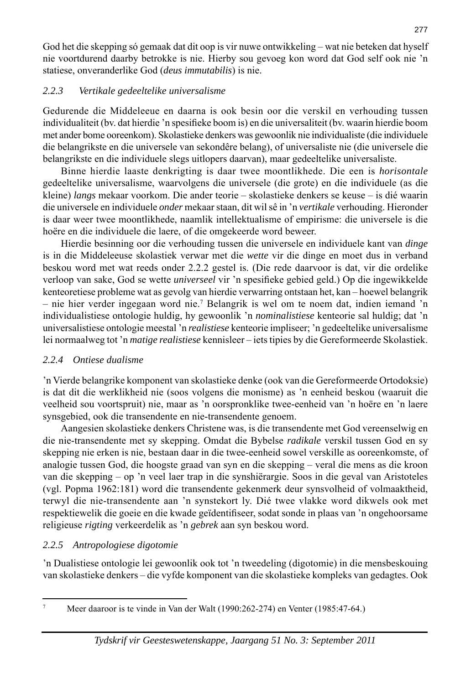God het die skepping só gemaak dat dit oop is vir nuwe ontwikkeling – wat nie beteken dat hyself nie voortdurend daarby betrokke is nie. Hierby sou gevoeg kon word dat God self ook nie 'n statiese, onveranderlike God (*deus immutabilis*) is nie.

# *2.2.3 Vertikale gedeeltelike universalisme*

Gedurende die Middeleeue en daarna is ook besin oor die verskil en verhouding tussen individualiteit (bv. dat hierdie 'n spesifi eke boom is) en die universaliteit (bv. waarin hierdie boom met ander bome ooreenkom). Skolastieke denkers was gewoonlik nie individualiste (die individuele die belangrikste en die universele van sekondêre belang), of universaliste nie (die universele die belangrikste en die individuele slegs uitlopers daarvan), maar gedeeltelike universaliste.

 Binne hierdie laaste denkrigting is daar twee moontlikhede. Die een is *horisontale* gedeeltelike universalisme, waarvolgens die universele (die grote) en die individuele (as die kleine) *langs* mekaar voorkom. Die ander teorie – skolastieke denkers se keuse – is dié waarin die universele en individuele *onder* mekaar staan, dit wil sê in 'n *vertikale* verhouding. Hieronder is daar weer twee moontlikhede, naamlik intellektualisme of empirisme: die universele is die hoëre en die individuele die laere, of die omgekeerde word beweer.

 Hierdie besinning oor die verhouding tussen die universele en individuele kant van *dinge* is in die Middeleeuse skolastiek verwar met die *wette* vir die dinge en moet dus in verband beskou word met wat reeds onder 2.2.2 gestel is. (Die rede daarvoor is dat, vir die ordelike verloop van sake, God se wette *universeel* vir 'n spesifieke gebied geld.) Op die ingewikkelde kenteoretiese probleme wat as gevolg van hierdie verwarring ontstaan het, kan – hoewel belangrik – nie hier verder ingegaan word nie.7 Belangrik is wel om te noem dat, indien iemand 'n individualistiese ontologie huldig, hy gewoonlik 'n *nominalistiese* kenteorie sal huldig; dat 'n universalistiese ontologie meestal 'n *realistiese* kenteorie impliseer; 'n gedeeltelike universalisme lei normaalweg tot 'n *matige realistiese* kennisleer – iets tipies by die Gereformeerde Skolastiek.

# *2.2.4 Ontiese dualisme*

'n Vierde belangrike komponent van skolastieke denke (ook van die Gereformeerde Ortodoksie) is dat dit die werklikheid nie (soos volgens die monisme) as 'n eenheid beskou (waaruit die veelheid sou voortspruit) nie, maar as 'n oorspronklike twee-eenheid van 'n hoëre en 'n laere synsgebied, ook die transendente en nie-transendente genoem.

 Aangesien skolastieke denkers Christene was, is die transendente met God vereenselwig en die nie-transendente met sy skepping. Omdat die Bybelse *radikale* verskil tussen God en sy skepping nie erken is nie, bestaan daar in die twee-eenheid sowel verskille as ooreenkomste, of analogie tussen God, die hoogste graad van syn en die skepping – veral die mens as die kroon van die skepping – op 'n veel laer trap in die synshiërargie. Soos in die geval van Aristoteles (vgl. Popma 1962:181) word die transendente gekenmerk deur synsvolheid of volmaaktheid, terwyl die nie-transendente aan 'n synstekort ly. Dié twee vlakke word dikwels ook met respektiewelik die goeie en die kwade geïdentifi seer, sodat sonde in plaas van 'n ongehoorsame religieuse *rigting* verkeerdelik as 'n *gebrek* aan syn beskou word.

# *2.2.5 Antropologiese digotomie*

'n Dualistiese ontologie lei gewoonlik ook tot 'n tweedeling (digotomie) in die mensbeskouing van skolastieke denkers – die vyfde komponent van die skolastieke kompleks van gedagtes. Ook

7

Meer daaroor is te vinde in Van der Walt (1990:262-274) en Venter (1985:47-64.)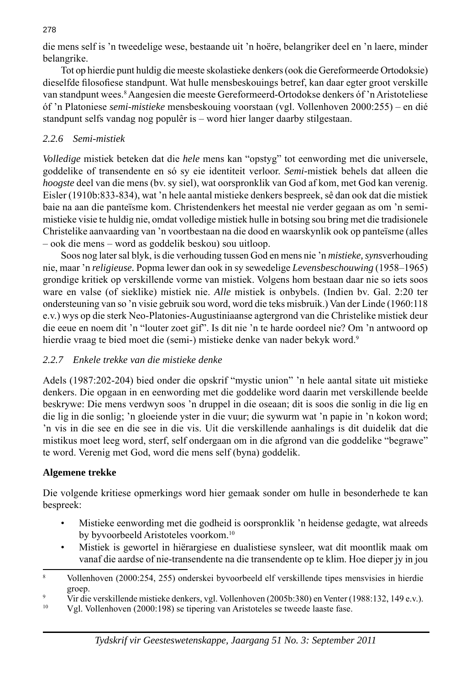die mens self is 'n tweedelige wese, bestaande uit 'n hoëre, belangriker deel en 'n laere, minder belangrike.

 Tot op hierdie punt huldig die meeste skolastieke denkers (ook die Gereformeerde Ortodoksie) dieselfde filosofiese standpunt. Wat hulle mensbeskouings betref, kan daar egter groot verskille van standpunt wees.<sup>8</sup> Aangesien die meeste Gereformeerd-Ortodokse denkers óf 'n Aristoteliese óf 'n Platoniese *semi-mistieke* mensbeskouing voorstaan (vgl. Vollenhoven 2000:255) – en dié standpunt selfs vandag nog populêr is – word hier langer daarby stilgestaan.

### *2.2.6 Semi-mistiek*

*Volledige* mistiek beteken dat die *hele* mens kan "opstyg" tot eenwording met die universele, goddelike of transendente en só sy eie identiteit verloor. *Semi-*mistiek behels dat alleen die *hoogste* deel van die mens (bv. sy siel), wat oorspronklik van God af kom, met God kan verenig. Eisler (1910b:833-834), wat 'n hele aantal mistieke denkers bespreek, sê dan ook dat die mistiek baie na aan die panteïsme kom. Christendenkers het meestal nie verder gegaan as om 'n semimistieke visie te huldig nie, omdat volledige mistiek hulle in botsing sou bring met die tradisionele Christelike aanvaarding van 'n voortbestaan na die dood en waarskynlik ook op panteïsme (alles – ook die mens – word as goddelik beskou) sou uitloop.

 Soos nog later sal blyk, is die verhouding tussen God en mens nie 'n *mistieke, syns*verhouding nie, maar 'n *religieuse.* Popma lewer dan ook in sy sewedelige *Levensbeschouwing* (1958–1965) grondige kritiek op verskillende vorme van mistiek. Volgens hom bestaan daar nie so iets soos ware en valse (of sieklike) mistiek nie. *Alle* mistiek is onbybels. (Indien bv. Gal. 2:20 ter ondersteuning van so 'n visie gebruik sou word, word die teks misbruik.) Van der Linde (1960:118 e.v.) wys op die sterk Neo-Platonies-Augustiniaanse agtergrond van die Christelike mistiek deur die eeue en noem dit 'n "louter zoet gif". Is dit nie 'n te harde oordeel nie? Om 'n antwoord op hierdie vraag te bied moet die (semi-) mistieke denke van nader bekyk word.<sup>9</sup>

#### *2.2.7 Enkele trekke van die mistieke denke*

Adels (1987:202-204) bied onder die opskrif "mystic union" 'n hele aantal sitate uit mistieke denkers. Die opgaan in en eenwording met die goddelike word daarin met verskillende beelde beskrywe: Die mens verdwyn soos 'n druppel in die oseaan; dit is soos die sonlig in die lig en die lig in die sonlig; 'n gloeiende yster in die vuur; die sywurm wat 'n papie in 'n kokon word; 'n vis in die see en die see in die vis. Uit die verskillende aanhalings is dit duidelik dat die mistikus moet leeg word, sterf, self ondergaan om in die afgrond van die goddelike "begrawe" te word. Verenig met God, word die mens self (byna) goddelik.

#### **Algemene trekke**

Die volgende kritiese opmerkings word hier gemaak sonder om hulle in besonderhede te kan bespreek:

- Mistieke eenwording met die godheid is oorspronklik 'n heidense gedagte, wat alreeds by byvoorbeeld Aristoteles voorkom.10
- Mistiek is gewortel in hiërargiese en dualistiese synsleer, wat dit moontlik maak om vanaf die aardse of nie-transendente na die transendente op te klim. Hoe dieper jy in jou

Vgl. Vollenhoven (2000:198) se tipering van Aristoteles se tweede laaste fase.

<sup>8</sup> Vollenhoven (2000:254, 255) onderskei byvoorbeeld elf verskillende tipes mensvisies in hierdie  $\qquad \qquad \text{group.}$ 

Vir die verskillende mistieke denkers, vgl. Vollenhoven (2005b:380) en Venter (1988:132, 149 e.v.).<br>Val Vollenhoven (2000:198) se tinering van Aristoteles se tweede laaste fase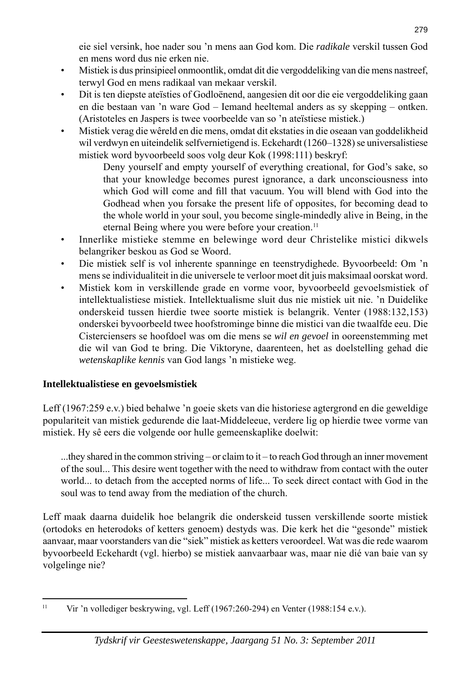eie siel versink, hoe nader sou 'n mens aan God kom. Die *radikale* verskil tussen God en mens word dus nie erken nie.

- Mistiek is dus prinsipieel onmoontlik, omdat dit die vergoddeliking van die mens nastreef, terwyl God en mens radikaal van mekaar verskil.
- Dit is ten diepste ateïsties of Godloënend, aangesien dit oor die eie vergoddeliking gaan en die bestaan van 'n ware God – Iemand heeltemal anders as sy skepping – ontken. (Aristoteles en Jaspers is twee voorbeelde van so 'n ateïstiese mistiek.)
- Mistiek verag die wêreld en die mens, omdat dit ekstaties in die oseaan van goddelikheid wil verdwyn en uiteindelik selfvernietigend is. Eckehardt (1260–1328) se universalistiese mistiek word byvoorbeeld soos volg deur Kok (1998:111) beskryf:

 Deny yourself and empty yourself of everything creational, for God's sake, so that your knowledge becomes purest ignorance, a dark unconsciousness into which God will come and fill that vacuum. You will blend with God into the Godhead when you forsake the present life of opposites, for becoming dead to the whole world in your soul, you become single-mindedly alive in Being, in the eternal Being where you were before your creation.<sup>11</sup>

- Innerlike mistieke stemme en belewinge word deur Christelike mistici dikwels belangriker beskou as God se Woord.
- Die mistiek self is vol inherente spanninge en teenstrydighede. Byvoorbeeld: Om 'n mens se individualiteit in die universele te verloor moet dit juis maksimaal oorskat word.
- Mistiek kom in verskillende grade en vorme voor, byvoorbeeld gevoelsmistiek of intellek tualistiese mistiek. Intellektualisme sluit dus nie mistiek uit nie. 'n Duidelike onderskeid tussen hierdie twee soorte mistiek is belangrik. Venter (1988:132,153) onderskei byvoorbeeld twee hoofstrominge binne die mistici van die twaalfde eeu. Die Cisterciensers se hoofdoel was om die mens se *wil en gevoel* in ooreenstemming met die wil van God te bring. Die Viktoryne, daarenteen, het as doelstelling gehad die *wetenskaplike kennis* van God langs 'n mistieke weg.

# **Intellektualistiese en gevoelsmistiek**

Leff (1967:259 e.v.) bied behalwe 'n goeie skets van die historiese agtergrond en die geweldige populariteit van mistiek gedurende die laat-Middeleeue, verdere lig op hierdie twee vorme van mistiek. Hy sê eers die volgende oor hulle gemeenskaplike doelwit:

...they shared in the common striving – or claim to it – to reach God through an inner movement of the soul... This desire went together with the need to withdraw from contact with the outer world... to detach from the accepted norms of life... To seek direct contact with God in the soul was to tend away from the mediation of the church.

Leff maak daarna duidelik hoe belangrik die onderskeid tussen verskillende soorte mistiek (ortodoks en heterodoks of ketters genoem) destyds was. Die kerk het die "gesonde" mistiek aanvaar, maar voorstanders van die "siek" mistiek as ketters veroordeel. Wat was die rede waarom byvoorbeeld Eckehardt (vgl. hierbo) se mistiek aanvaarbaar was, maar nie dié van baie van sy volgelinge nie?

<sup>&</sup>lt;sup>11</sup> Vir 'n vollediger beskrywing, vgl. Leff (1967:260-294) en Venter (1988:154 e.v.).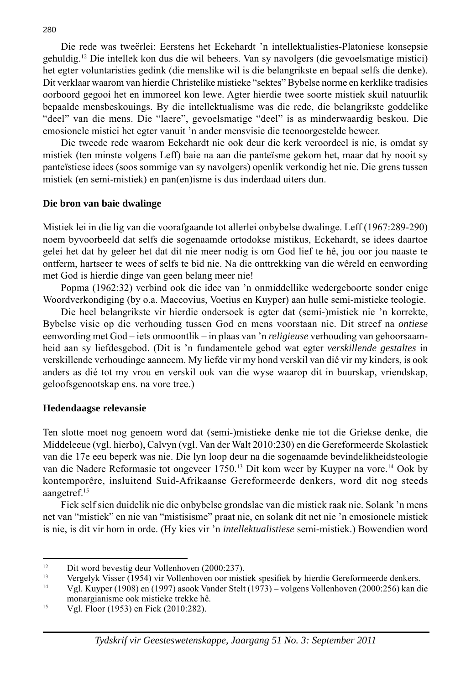Die rede was tweërlei: Eerstens het Eckehardt 'n intellektualisties-Platoniese konsepsie gehuldig.12 Die intellek kon dus die wil beheers. Van sy navolgers (die gevoelsmatige mistici) het egter voluntaristies gedink (die menslike wil is die belangrikste en bepaal selfs die denke). Dit verklaar waarom van hierdie Christelike mistieke "sektes" Bybelse norme en kerklike tradisies oorboord gegooi het en immoreel kon lewe. Agter hierdie twee soorte mistiek skuil natuurlik bepaalde mensbeskouings. By die intellektualisme was die rede, die belangrikste goddelike "deel" van die mens. Die "laere", gevoelsmatige "deel" is as minderwaardig beskou. Die emosionele mistici het egter vanuit 'n ander mensvisie die teenoorgestelde beweer.

 Die tweede rede waarom Eckehardt nie ook deur die kerk veroordeel is nie, is omdat sy mistiek (ten minste volgens Leff) baie na aan die panteïsme gekom het, maar dat hy nooit sy panteïstiese idees (soos sommige van sy navolgers) openlik verkondig het nie. Die grens tussen mistiek (en semi-mistiek) en pan(en)isme is dus inderdaad uiters dun.

#### **Die bron van baie dwalinge**

Mistiek lei in die lig van die voorafgaande tot allerlei onbybelse dwalinge. Leff (1967:289-290) noem byvoorbeeld dat selfs die sogenaamde ortodokse mistikus, Eckehardt, se idees daartoe gelei het dat hy geleer het dat dit nie meer nodig is om God lief te hê, jou oor jou naaste te ontferm, hartseer te wees of selfs te bid nie. Na die onttrekking van die wêreld en eenwording met God is hierdie dinge van geen belang meer nie!

 Popma (1962:32) verbind ook die idee van 'n onmiddellike wedergeboorte sonder enige Woordverkondiging (by o.a. Maccovius, Voetius en Kuyper) aan hulle semi-mistieke teologie.

 Die heel belangrikste vir hierdie ondersoek is egter dat (semi-)mistiek nie 'n korrekte, Bybelse visie op die verhouding tussen God en mens voorstaan nie. Dit streef na *ontiese* eenwording met God – iets onmoontlik – in plaas van 'n *religieuse* verhouding van gehoorsaamheid aan sy liefdesgebod. (Dit is 'n fundamentele gebod wat egter *verskillende gestaltes* in verskillende verhoudinge aanneem. My liefde vir my hond verskil van dié vir my kinders, is ook anders as dié tot my vrou en verskil ook van die wyse waarop dit in buurskap, vriendskap, geloofsgenootskap ens. na vore tree.)

#### **Hedendaagse relevansie**

Ten slotte moet nog genoem word dat (semi-)mistieke denke nie tot die Griekse denke, die Middeleeue (vgl. hierbo), Calvyn (vgl. Van der Walt 2010:230) en die Gereformeerde Skolastiek van die 17e eeu beperk was nie. Die lyn loop deur na die sogenaamde bevindelikheidsteologie van die Nadere Reformasie tot ongeveer 1750.13 Dit kom weer by Kuyper na vore.14 Ook by kontemporêre, insluitend Suid-Afrikaanse Gereformeerde denkers, word dit nog steeds aangetref.15

 Fick self sien duidelik nie die onbybelse grondslae van die mistiek raak nie. Solank 'n mens net van "mistiek" en nie van "mistisisme" praat nie, en solank dit net nie 'n emosionele mistiek is nie, is dit vir hom in orde. (Hy kies vir 'n *intellektualistiese* semi-mistiek.) Bowendien word

<sup>&</sup>lt;sup>12</sup> Dit word bevestig deur Vollenhoven (2000:237).<br>
<sup>13</sup> Vorgelijk Viscor (1954) uir Vollenhouen oor misti

<sup>&</sup>lt;sup>13</sup> Vergelyk Visser (1954) vir Vollenhoven oor mistiek spesifiek by hierdie Gereformeerde denkers.<br><sup>14</sup> Vel Kuuper (1998) en (1997) speek Vender Stalt (1973), velgans Vellenhoven (2000:256) kan d

<sup>14</sup> Vgl. Kuyper (1908) en (1997) asook Vander Stelt (1973) – volgens Vollenhoven (2000:256) kan die monargianisme ook mistieke trekke hê.

<sup>15</sup> Vgl. Floor (1953) en Fick (2010:282).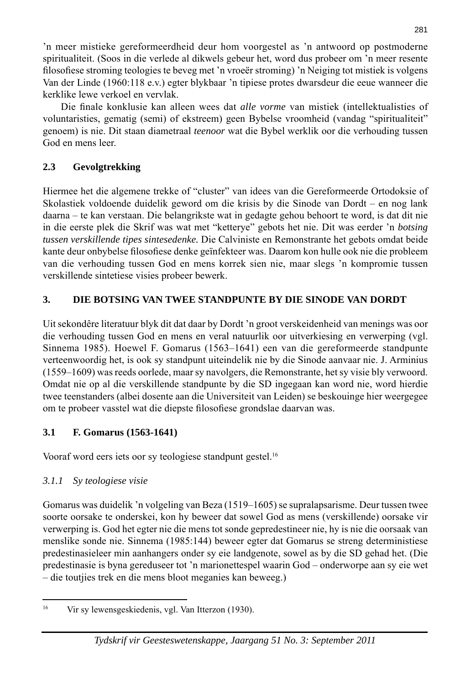'n meer mistieke gereformeerdheid deur hom voorgestel as 'n antwoord op postmoderne spiritualiteit. (Soos in die verlede al dikwels gebeur het, word dus probeer om 'n meer resente fi losofi ese stroming teologies te beveg met 'n vroeër stroming) 'n Neiging tot mistiek is volgens Van der Linde (1960:118 e.v.) egter blykbaar 'n tipiese protes dwarsdeur die eeue wanneer die kerklike lewe verkoel en vervlak.

Die finale konklusie kan alleen wees dat *alle vorme* van mistiek (intellektualisties of voluntaristies, gematig (semi) of ekstreem) geen Bybelse vroomheid (vandag "spiritualiteit" genoem) is nie. Dit staan diametraal *teenoor* wat die Bybel werklik oor die verhouding tussen God en mens leer.

# **2.3 Gevolgtrekking**

Hiermee het die algemene trekke of "cluster" van idees van die Gereformeerde Ortodoksie of Skolastiek voldoende duidelik geword om die krisis by die Sinode van Dordt – en nog lank daarna – te kan verstaan. Die belangrikste wat in gedagte gehou behoort te word, is dat dit nie in die eerste plek die Skrif was wat met "ketterye" gebots het nie. Dit was eerder 'n *botsing tussen verskillende tipes sintesedenke.* Die Calviniste en Remonstrante het gebots omdat beide kante deur onbybelse filosofiese denke geïnfekteer was. Daarom kon hulle ook nie die probleem van die verhouding tussen God en mens korrek sien nie, maar slegs 'n kompromie tussen verskillende sintetiese visies probeer bewerk.

# **3. DIE BOTSING VAN TWEE STANDPUNTE BY DIE SINODE VAN DORDT**

Uit sekondêre literatuur blyk dit dat daar by Dordt 'n groot verskeidenheid van menings was oor die verhouding tussen God en mens en veral natuurlik oor uitverkiesing en verwerping (vgl. Sinnema 1985). Hoewel F. Gomarus (1563–1641) een van die gereformeerde standpunte verteenwoordig het, is ook sy standpunt uiteindelik nie by die Sinode aanvaar nie. J. Arminius (1559–1609) was reeds oorlede, maar sy navolgers, die Remonstrante, het sy visie bly verwoord. Omdat nie op al die verskillende standpunte by die SD ingegaan kan word nie, word hierdie twee teenstanders (albei dosente aan die Universiteit van Leiden) se beskouinge hier weergegee om te probeer vasstel wat die diepste filosofiese grondslae daarvan was.

# **3.1 F. Gomarus (1563-1641)**

Vooraf word eers iets oor sy teologiese standpunt gestel.16

# *3.1.1 Sy teologiese visie*

Gomarus was duidelik 'n volgeling van Beza (1519–1605) se supralapsarisme. Deur tussen twee soorte oorsake te onderskei, kon hy beweer dat sowel God as mens (verskillende) oorsake vir verwerping is. God het egter nie die mens tot sonde gepredestineer nie, hy is nie die oorsaak van menslike sonde nie. Sinnema (1985:144) beweer egter dat Gomarus se streng deterministiese predestinasieleer min aanhangers onder sy eie landgenote, sowel as by die SD gehad het. (Die predestinasie is byna gereduseer tot 'n marionettespel waarin God – onderworpe aan sy eie wet – die toutjies trek en die mens bloot meganies kan beweeg.)

<sup>16</sup> Vir sy lewensgeskiedenis, vgl. Van Itterzon (1930).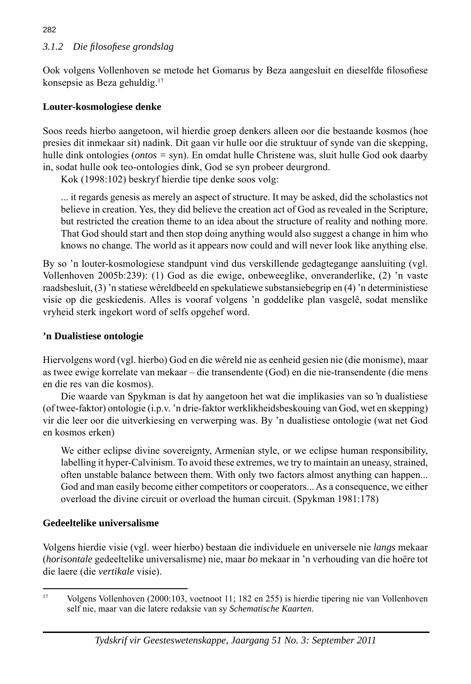# *3.1.2 Die fi losofi ese grondslag*

Ook volgens Vollenhoven se metode het Gomarus by Beza aangesluit en dieselfde filosofiese konsepsie as Beza gehuldig.17

#### **Louter-kosmologiese denke**

Soos reeds hierbo aangetoon, wil hierdie groep denkers alleen oor die bestaande kosmos (hoe presies dit inmekaar sit) nadink. Dit gaan vir hulle oor die struktuur of synde van die skepping, hulle dink ontologies (*ontos =* syn). En omdat hulle Christene was, sluit hulle God ook daarby in, sodat hulle ook teo-ontologies dink, God se syn probeer deurgrond.

Kok (1998:102) beskryf hierdie tipe denke soos volg:

 ... it regards genesis as merely an aspect of structure. It may be asked, did the scholastics not believe in creation. Yes, they did believe the creation act of God as revealed in the Scripture, but restricted the creation theme to an idea about the structure of reality and nothing more. That God should start and then stop doing anything would also suggest a change in him who knows no change. The world as it appears now could and will never look like anything else.

By so 'n louter-kosmologiese standpunt vind dus verskillende gedagtegange aansluiting (vgl. Vollenhoven 2005b:239): (1) God as die ewige, onbeweeglike, onveranderlike, (2) 'n vaste raadsbesluit, (3) 'n statiese wêreldbeeld en spekulatiewe substansiebegrip en (4) 'n deterministiese visie op die geskiedenis. Alles is vooraf volgens 'n goddelike plan vasgelê, sodat menslike vryheid sterk ingekort word of selfs opgehef word.

#### **'n Dualistiese ontologie**

Hiervolgens word (vgl. hierbo) God en die wêreld nie as eenheid gesien nie (die monisme), maar as twee ewige korrelate van mekaar – die transendente (God) en die nie-transendente (die mens en die res van die kosmos).

 Die waarde van Spykman is dat hy aangetoon het wat die implikasies van so 'n dualistiese (of twee-faktor) ontologie (i.p.v. 'n drie-faktor werklikheidsbeskouing van God, wet en skepping) vir die leer oor die uitverkiesing en verwerping was. By 'n dualistiese ontologie (wat net God en kosmos erken)

 We either eclipse divine sovereignty, Armenian style, or we eclipse human responsibility, labelling it hyper-Calvinism. To avoid these extremes, we try to maintain an uneasy, strained, often unstable balance between them. With only two factors almost anything can happen... God and man easily become either competitors or cooperators... As a consequence, we either overload the divine circuit or overload the human circuit. (Spykman 1981:178)

# **Gedeeltelike universalisme**

Volgens hierdie visie (vgl. weer hierbo) bestaan die individuele en universele nie *langs* mekaar (*horisontale* gedeeltelike universalisme) nie, maar *bo* mekaar in 'n verhouding van die hoëre tot die laere (die *vertikale* visie).

#### 282

<sup>17</sup> Volgens Vollenhoven (2000:103, voetnoot 11; 182 en 255) is hierdie tipering nie van Vollenhoven self nie, maar van die latere redaksie van sy *Schematische Kaarten.*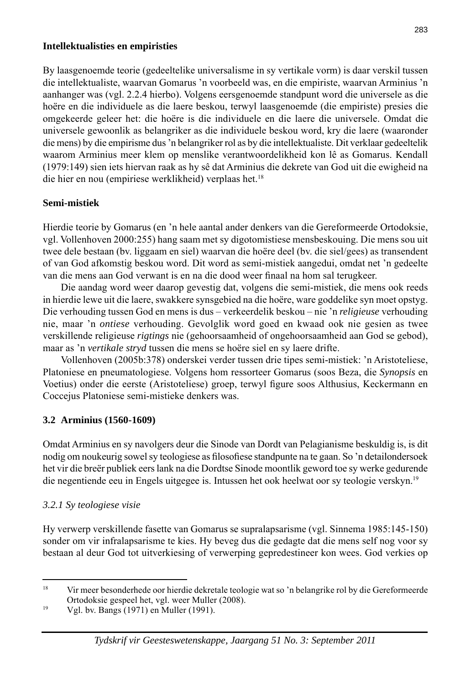#### **Intellektualisties en empiristies**

By laasgenoemde teorie (gedeeltelike universalisme in sy vertikale vorm) is daar verskil tussen die intellektualiste, waarvan Gomarus 'n voorbeeld was, en die empiriste, waarvan Arminius 'n aanhanger was (vgl. 2.2.4 hierbo). Volgens eersgenoemde standpunt word die universele as die hoëre en die individuele as die laere beskou, terwyl laasgenoemde (die empiriste) presies die omgekeerde geleer het: die hoëre is die individuele en die laere die universele. Omdat die universele gewoonlik as belangriker as die individuele beskou word, kry die laere (waaronder die mens) by die empirisme dus 'n belangriker rol as by die intellektualiste. Dit verklaar gedeeltelik waarom Arminius meer klem op menslike verantwoordelikheid kon lê as Gomarus. Kendall (1979:149) sien iets hiervan raak as hy sê dat Arminius die dekrete van God uit die ewigheid na die hier en nou (empiriese werklikheid) verplaas het.<sup>18</sup>

#### **Semi-mistiek**

Hierdie teorie by Gomarus (en 'n hele aantal ander denkers van die Gereformeerde Ortodoksie, vgl. Vollenhoven 2000:255) hang saam met sy digotomistiese mensbeskouing. Die mens sou uit twee dele bestaan (bv. liggaam en siel) waarvan die hoëre deel (bv. die siel/gees) as transendent of van God afkomstig beskou word. Dit word as semi-mistiek aangedui, omdat net 'n gedeelte van die mens aan God verwant is en na die dood weer finaal na hom sal terugkeer.

 Die aandag word weer daarop gevestig dat, volgens die semi-mistiek, die mens ook reeds in hierdie lewe uit die laere, swakkere synsgebied na die hoëre, ware goddelike syn moet opstyg. Die verhouding tussen God en mens is dus – verkeerdelik beskou – nie 'n *religieuse* verhouding nie, maar 'n *ontiese* verhouding. Gevolglik word goed en kwaad ook nie gesien as twee verskillende religieuse *rigtings* nie (gehoorsaamheid of ongehoorsaamheid aan God se gebod), maar as 'n *vertikale stryd* tussen die mens se hoëre siel en sy laere drifte.

 Vollenhoven (2005b:378) onderskei verder tussen drie tipes semi-mistiek: 'n Aristoteliese, Platoniese en pneumatologiese. Volgens hom ressorteer Gomarus (soos Beza, die *Synopsis* en Voetius) onder die eerste (Aristoteliese) groep, terwyl figure soos Althusius, Keckermann en Coccejus Platoniese semi-mistieke denkers was.

#### **3.2 Arminius (1560-1609)**

Omdat Arminius en sy navolgers deur die Sinode van Dordt van Pelagianisme beskuldig is, is dit nodig om noukeurig sowel sy teologiese as filosofiese standpunte na te gaan. So 'n detailondersoek het vir die breër publiek eers lank na die Dordtse Sinode moontlik geword toe sy werke gedurende die negentiende eeu in Engels uitgegee is. Intussen het ook heelwat oor sy teologie verskyn.19

#### *3.2.1 Sy teologiese visie*

Hy verwerp verskillende fasette van Gomarus se supralapsarisme (vgl. Sinnema 1985:145-150) sonder om vir infralapsarisme te kies. Hy beveg dus die gedagte dat die mens self nog voor sy bestaan al deur God tot uitverkiesing of verwerping gepredestineer kon wees. God verkies op

<sup>&</sup>lt;sup>18</sup> Vir meer besonderhede oor hierdie dekretale teologie wat so 'n belangrike rol by die Gereformeerde Ortodoksie gespeel het, vgl. weer Muller (2008).

<sup>19</sup> Vgl. bv. Bangs (1971) en Muller (1991).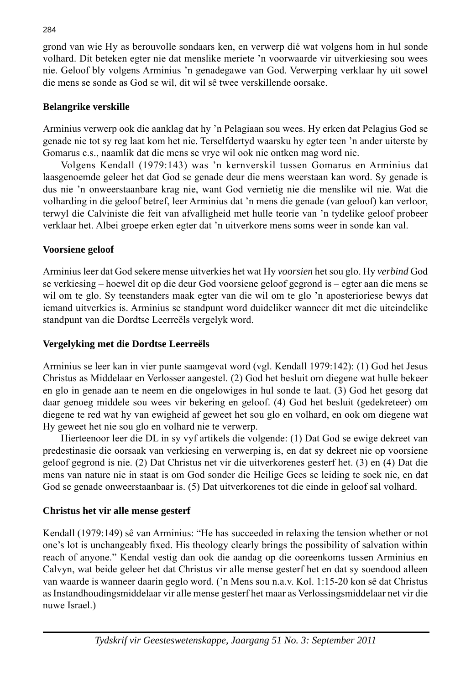grond van wie Hy as berouvolle sondaars ken, en verwerp dié wat volgens hom in hul sonde volhard. Dit beteken egter nie dat menslike meriete 'n voorwaarde vir uitverkiesing sou wees nie. Geloof bly volgens Arminius 'n genadegawe van God. Verwerping verklaar hy uit sowel die mens se sonde as God se wil, dit wil sê twee verskillende oorsake.

#### **Belangrike verskille**

Arminius verwerp ook die aanklag dat hy 'n Pelagiaan sou wees. Hy erken dat Pelagius God se genade nie tot sy reg laat kom het nie. Terselfdertyd waarsku hy egter teen 'n ander uiterste by Gomarus c.s., naamlik dat die mens se vrye wil ook nie ontken mag word nie.

 Volgens Kendall (1979:143) was 'n kernverskil tussen Gomarus en Arminius dat laasgenoemde geleer het dat God se genade deur die mens weerstaan kan word. Sy genade is dus nie 'n onweer staanbare krag nie, want God vernietig nie die menslike wil nie. Wat die volharding in die geloof betref, leer Arminius dat 'n mens die genade (van geloof) kan verloor, terwyl die Calviniste die feit van afvalligheid met hulle teorie van 'n tydelike geloof probeer verklaar het. Albei groepe erken egter dat 'n uitverkore mens soms weer in sonde kan val.

# **Voorsiene geloof**

Arminius leer dat God sekere mense uitverkies het wat Hy *voorsien* het sou glo. Hy *verbind* God se verkiesing – hoewel dit op die deur God voorsiene geloof gegrond is – egter aan die mens se wil om te glo. Sy teenstanders maak egter van die wil om te glo 'n aposterioriese bewys dat iemand uitverkies is. Arminius se standpunt word duideliker wanneer dit met die uiteindelike standpunt van die Dordtse Leerreëls vergelyk word.

# **Vergelyking met die Dordtse Leerreëls**

Arminius se leer kan in vier punte saamgevat word (vgl. Kendall 1979:142): (1) God het Jesus Christus as Middelaar en Verlosser aangestel. (2) God het besluit om diegene wat hulle bekeer en glo in genade aan te neem en die ongelowiges in hul sonde te laat. (3) God het gesorg dat daar genoeg middele sou wees vir bekering en geloof. (4) God het besluit (gedekreteer) om diegene te red wat hy van ewigheid af geweet het sou glo en volhard, en ook om diegene wat Hy geweet het nie sou glo en volhard nie te verwerp.

 Hierteenoor leer die DL in sy vyf artikels die volgende: (1) Dat God se ewige dekreet van predestinasie die oorsaak van verkiesing en verwerping is, en dat sy dekreet nie op voorsiene geloof gegrond is nie. (2) Dat Christus net vir die uitverkorenes gesterf het. (3) en (4) Dat die mens van nature nie in staat is om God sonder die Heilige Gees se leiding te soek nie, en dat God se genade onweerstaanbaar is. (5) Dat uitverkorenes tot die einde in geloof sal volhard.

# **Christus het vir alle mense gesterf**

Kendall (1979:149) sê van Arminius: "He has succeeded in relaxing the tension whether or not one's lot is unchangeably fixed. His theology clearly brings the possibility of salvation within reach of anyone." Kendal vestig dan ook die aandag op die ooreenkoms tussen Arminius en Calvyn, wat beide geleer het dat Christus vir alle mense gesterf het en dat sy soendood alleen van waarde is wanneer daarin geglo word. ('n Mens sou n.a.v. Kol. 1:15-20 kon sê dat Christus as Instandhoudingsmiddelaar vir alle mense gesterf het maar as Verlossingsmiddelaar net vir die nuwe Israel.)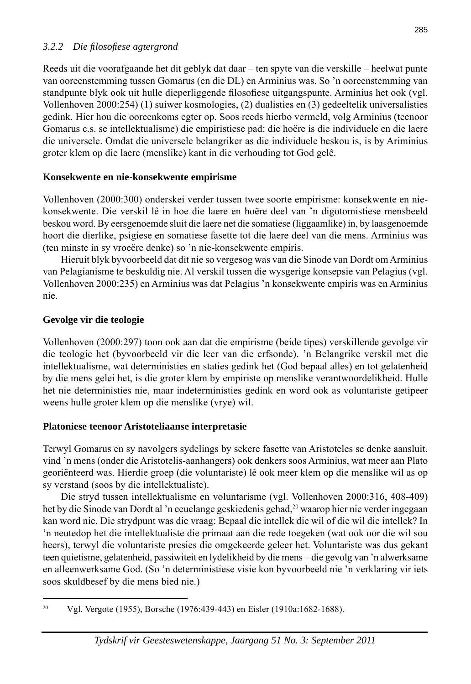#### *3.2.2 Die fi losofi ese agtergrond*

Reeds uit die voorafgaande het dit geblyk dat daar – ten spyte van die verskille – heelwat punte van ooreenstemming tussen Gomarus (en die DL) en Arminius was. So 'n ooreenstemming van standpunte blyk ook uit hulle dieperliggende filosofiese uitgangspunte. Arminius het ook (vgl.) Vollenhoven 2000:254) (1) suiwer kosmologies, (2) dualisties en (3) gedeeltelik universalisties gedink. Hier hou die ooreenkoms egter op. Soos reeds hierbo vermeld, volg Arminius (teenoor Gomarus c.s. se intellektualisme) die empiristiese pad: die hoëre is die individuele en die laere die universele. Omdat die universele belangriker as die individuele beskou is, is by Ariminius groter klem op die laere (menslike) kant in die verhouding tot God gelê.

#### **Konsekwente en nie-konsekwente empirisme**

Vollenhoven (2000:300) onderskei verder tussen twee soorte empirisme: konsekwente en niekonsekwente. Die verskil lê in hoe die laere en hoëre deel van 'n digotomistiese mensbeeld beskou word. By eersgenoemde sluit die laere net die somatiese (liggaamlike) in, by laasgenoemde hoort die dierlike, psigiese en somatiese fasette tot die laere deel van die mens. Arminius was (ten minste in sy vroeëre denke) so 'n nie-konsekwente empiris.

 Hieruit blyk byvoorbeeld dat dit nie so vergesog was van die Sinode van Dordt om Arminius van Pelagianisme te beskuldig nie. Al verskil tussen die wysgerige konsepsie van Pelagius (vgl. Vollenhoven 2000:235) en Arminius was dat Pelagius 'n konsekwente empiris was en Arminius nie.

#### **Gevolge vir die teologie**

Vollenhoven (2000:297) toon ook aan dat die empirisme (beide tipes) verskillende gevolge vir die teologie het (byvoorbeeld vir die leer van die erfsonde). 'n Belangrike verskil met die intellektualisme, wat deterministies en staties gedink het (God bepaal alles) en tot gelatenheid by die mens gelei het, is die groter klem by empiriste op menslike verantwoordelikheid. Hulle het nie deterministies nie, maar indeterministies gedink en word ook as voluntariste getipeer weens hulle groter klem op die menslike (vrye) wil.

# **Platoniese teenoor Aristoteliaanse interpretasie**

Terwyl Gomarus en sy navolgers sydelings by sekere fasette van Aristoteles se denke aansluit, vind 'n mens (onder die Aristotelis-aanhangers) ook denkers soos Arminius, wat meer aan Plato georiënteerd was. Hierdie groep (die voluntariste) lê ook meer klem op die menslike wil as op sy verstand (soos by die intellektualiste).

 Die stryd tussen intellektualisme en voluntarisme (vgl. Vollenhoven 2000:316, 408-409) het by die Sinode van Dordt al 'n eeuelange geskiedenis gehad,<sup>20</sup> waarop hier nie verder ingegaan kan word nie. Die strydpunt was die vraag: Bepaal die intellek die wil of die wil die intellek? In 'n neutedop het die intellektualiste die primaat aan die rede toegeken (wat ook oor die wil sou heers), terwyl die voluntariste presies die omgekeerde geleer het. Voluntariste was dus gekant teen quietisme, gelatenheid, passiwiteit en lydelikheid by die mens – die gevolg van 'n alwerksame en alleenwerksame God. (So 'n deterministiese visie kon byvoorbeeld nie 'n verklaring vir iets soos skuldbesef by die mens bied nie.)

<sup>20</sup> Vgl. Vergote (1955), Borsche (1976:439-443) en Eisler (1910a:1682-1688).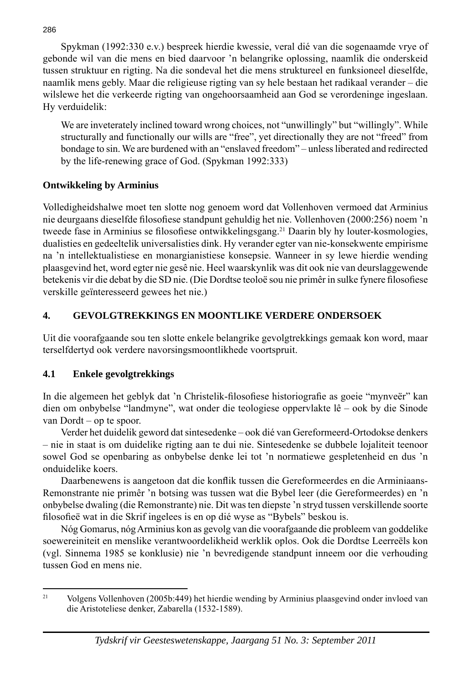Spykman (1992:330 e.v.) bespreek hierdie kwessie, veral dié van die sogenaamde vrye of gebonde wil van die mens en bied daarvoor 'n belangrike oplossing, naamlik die onderskeid tussen struktuur en rigting. Na die sondeval het die mens struktureel en funksioneel dieselfde, naamlik mens gebly. Maar die religieuse rigting van sy hele bestaan het radikaal verander – die wilslewe het die verkeerde rigting van ongehoorsaamheid aan God se verordeninge ingeslaan. Hy verduidelik:

We are inveterately inclined toward wrong choices, not "unwillingly" but "willingly". While structurally and functionally our wills are "free", yet directionally they are not "freed" from bondage to sin. We are burdened with an "enslaved freedom" – unless liberated and redirected by the life-renewing grace of God. (Spykman 1992:333)

#### **Ontwikkeling by Arminius**

Volledigheidshalwe moet ten slotte nog genoem word dat Vollenhoven vermoed dat Arminius nie deurgaans dieselfde filosofiese standpunt gehuldig het nie. Vollenhoven (2000:256) noem 'n tweede fase in Arminius se filosofiese ontwikkelingsgang.<sup>21</sup> Daarin bly hy louter-kosmologies, dualisties en gedeeltelik universalisties dink. Hy verander egter van nie-konsekwente empirisme na 'n intellektualistiese en monargianistiese konsepsie. Wanneer in sy lewe hierdie wending plaasgevind het, word egter nie gesê nie. Heel waarskynlik was dit ook nie van deurslaggewende betekenis vir die debat by die SD nie. (Die Dordtse teoloë sou nie primêr in sulke fynere filosofiese verskille geïnteresseerd gewees het nie.)

# **4. GEVOLGTREKKINGS EN MOONTLIKE VERDERE ONDERSOEK**

Uit die voorafgaande sou ten slotte enkele belangrike gevolgtrekkings gemaak kon word, maar terselfdertyd ook verdere navorsingsmoontlikhede voortspruit.

# **4.1 Enkele gevolgtrekkings**

In die algemeen het geblyk dat 'n Christelik-filosofiese historiografie as goeie "mynveër" kan dien om onbybelse "landmyne", wat onder die teologiese oppervlakte lê – ook by die Sinode van Dordt – op te spoor.

 Verder het duidelik geword dat sintesedenke – ook dié van Gereformeerd-Ortodokse denkers – nie in staat is om duidelike rigting aan te dui nie. Sintesedenke se dubbele lojaliteit teenoor sowel God se openbaring as onbybelse denke lei tot 'n normatiewe gespletenheid en dus 'n onduidelike koers.

Daarbenewens is aangetoon dat die konflik tussen die Gereformeerdes en die Arminiaans-Remonstrante nie primêr 'n botsing was tussen wat die Bybel leer (die Gereformeerdes) en 'n onbybelse dwaling (die Remonstrante) nie. Dit was ten diepste 'n stryd tussen verskillende soorte filosofieë wat in die Skrif ingelees is en op dié wyse as "Bybels" beskou is.

 Nóg Gomarus, nóg Arminius kon as gevolg van die voorafgaande die probleem van goddelike soewereiniteit en menslike verantwoordelikheid werklik oplos. Ook die Dordtse Leerreëls kon (vgl. Sinnema 1985 se konklusie) nie 'n bevredigende standpunt inneem oor die verhouding tussen God en mens nie.

286

<sup>21</sup> Volgens Vollenhoven (2005b:449) het hierdie wending by Arminius plaasgevind onder invloed van die Aristoteliese denker, Zabarella (1532-1589).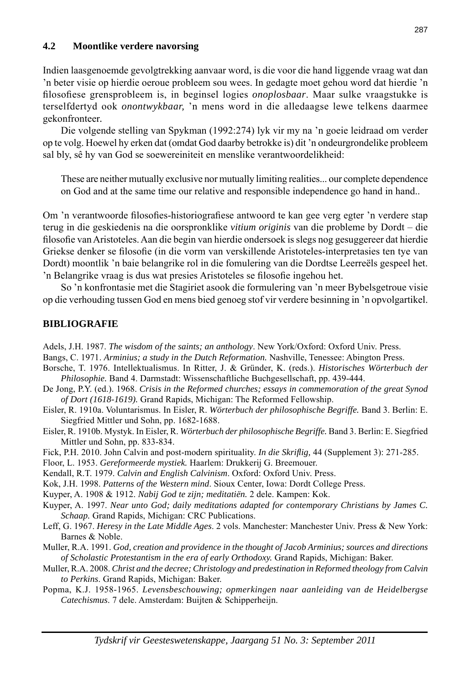#### **4.2 Moontlike verdere navorsing**

Indien laasgenoemde gevolgtrekking aanvaar word, is die voor die hand liggende vraag wat dan 'n beter visie op hierdie oeroue probleem sou wees. In gedagte moet gehou word dat hierdie 'n fi losofi ese grensprobleem is, in beginsel logies *onoplosbaar*. Maar sulke vraagstukke is terselfdertyd ook *onontwykbaar,* 'n mens word in die alledaagse lewe telkens daarmee gekonfronteer*.*

 Die volgende stelling van Spykman (1992:274) lyk vir my na 'n goeie leidraad om verder op te volg. Hoewel hy erken dat (omdat God daarby betrokke is) dit 'n ondeurgrondelike probleem sal bly, sê hy van God se soewereiniteit en menslike verantwoordelikheid:

 These are neither mutually exclusive nor mutually limiting realities... our complete dependence on God and at the same time our relative and responsible independence go hand in hand..

Om 'n verantwoorde filosofies-historiografiese antwoord te kan gee verg egter 'n verdere stap terug in die geskiedenis na die oorspronklike *vitium originis* van die probleme by Dordt – die filosofie van Aristoteles. Aan die begin van hierdie ondersoek is slegs nog gesuggereer dat hierdie Griekse denker se filosofie (in die vorm van verskillende Aristoteles-interpretasies ten tye van Dordt) moontlik 'n baie belangrike rol in die fomulering van die Dordtse Leerreëls gespeel het. 'n Belangrike vraag is dus wat presies Aristoteles se filosofie ingehou het.

 So 'n konfrontasie met die Stagiriet asook die formulering van 'n meer Bybelsgetroue visie op die verhouding tussen God en mens bied genoeg stof vir verdere besinning in 'n opvolgartikel.

#### **BIBLIOGRAFIE**

Adels, J.H. 1987. *The wisdom of the saints; an anthology*. New York/Oxford: Oxford Univ. Press.

Bangs, C. 1971. *Arminius; a study in the Dutch Reformation.* Nashville, Tenessee: Abington Press.

- Borsche, T. 1976. Intellektualismus. In Ritter, J. & Gründer, K. (reds.). *Historisches Wörterbuch der Philosophie.* Band 4. Darmstadt: Wissenschaftliche Buchgesellschaft, pp. 439-444.
- De Jong, P.Y. (ed.). 1968. *Crisis in the Reformed churches; essays in commemoration of the great Synod of Dort (1618-1619).* Grand Rapids, Michigan: The Reformed Fellowship.
- Eisler, R. 1910a. Voluntarismus. In Eisler, R. *Wörterbuch der philosophische Begriffe.* Band 3. Berlin: E. Siegfried Mittler und Sohn, pp. 1682-1688.
- Eisler, R. 1910b. Mystyk. In Eisler, R. *Wörterbuch der philosophische Begriffe.* Band 3. Berlin: E. Siegfried Mittler und Sohn, pp. 833-834.
- Fick, P.H. 2010. John Calvin and post-modern spirituality. *In die Skrifl ig,* 44 (Supplement 3): 271-285.
- Floor, L. 1953. *Gereformeerde mystiek.* Haarlem: Drukkerij G. Breemouer.
- Kendall, R.T. 1979. *Calvin and English Calvinism*. Oxford: Oxford Univ. Press.

Kok, J.H. 1998. *Patterns of the Western mind*. Sioux Center, Iowa: Dordt College Press.

Kuyper, A. 1908 & 1912. *Nabij God te zijn; meditatiën.* 2 dele. Kampen: Kok.

- Kuyper, A. 1997. *Near unto God; daily meditations adapted for contemporary Christians by James C. Schaap.* Grand Rapids, Michigan: CRC Publications.
- Leff, G. 1967. *Heresy in the Late Middle Ages*. 2 vols. Manchester: Manchester Univ. Press & New York: Barnes & Noble.
- Muller, R.A. 1991. *God, creation and providence in the thought of Jacob Arminius; sources and directions of Scholastic Protestantism in the era of early Orthodoxy.* Grand Rapids, Michigan: Baker.
- Muller, R.A. 2008. *Christ and the decree; Christology and predestination in Reformed theology from Calvin to Perkins*. Grand Rapids, Michigan: Baker.
- Popma, K.J. 1958-1965. *Levensbeschouwing; opmerkingen naar aanleiding van de Heidelbergse Catechismus*. 7 dele. Amsterdam: Buijten & Schipperheijn.